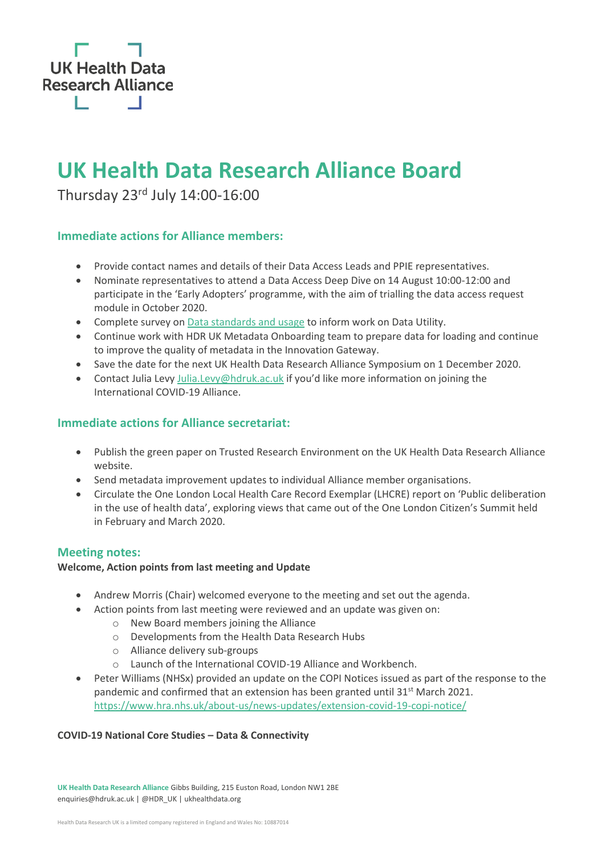

# **UK Health Data Research Alliance Board**

Thursday 23rd July 14:00-16:00

# **Immediate actions for Alliance members:**

- Provide contact names and details of their Data Access Leads and PPIE representatives.
- Nominate representatives to attend a Data Access Deep Dive on 14 August 10:00-12:00 and participate in the 'Early Adopters' programme, with the aim of trialling the data access request module in October 2020.
- Complete survey o[n Data standards and usage](https://www.surveymonkey.co.uk/r/RV8ZWYR) to inform work on Data Utility.
- Continue work with HDR UK Metadata Onboarding team to prepare data for loading and continue to improve the quality of metadata in the Innovation Gateway.
- Save the date for the next UK Health Data Research Alliance Symposium on 1 December 2020.
- Contact Julia Lev[y Julia.Levy@hdruk.ac.uk](mailto:Julia.Levy@hdruk.ac.uk) if you'd like more information on joining the International COVID-19 Alliance.

# **Immediate actions for Alliance secretariat:**

- Publish the green paper on Trusted Research Environment on the UK Health Data Research Alliance website.
- Send metadata improvement updates to individual Alliance member organisations.
- Circulate the One London Local Health Care Record Exemplar (LHCRE) report on 'Public deliberation in the use of health data', exploring views that came out of the One London Citizen's Summit held in February and March 2020.

## **Meeting notes:**

#### **Welcome, Action points from last meeting and Update**

- Andrew Morris (Chair) welcomed everyone to the meeting and set out the agenda.
- Action points from last meeting were reviewed and an update was given on:
	- o New Board members joining the Alliance
	- o Developments from the Health Data Research Hubs
	- o Alliance delivery sub-groups
	- o Launch of the International COVID-19 Alliance and Workbench.
- Peter Williams (NHSx) provided an update on the COPI Notices issued as part of the response to the pandemic and confirmed that an extension has been granted until 31<sup>st</sup> March 2021. <https://www.hra.nhs.uk/about-us/news-updates/extension-covid-19-copi-notice/>

#### **COVID-19 National Core Studies – Data & Connectivity**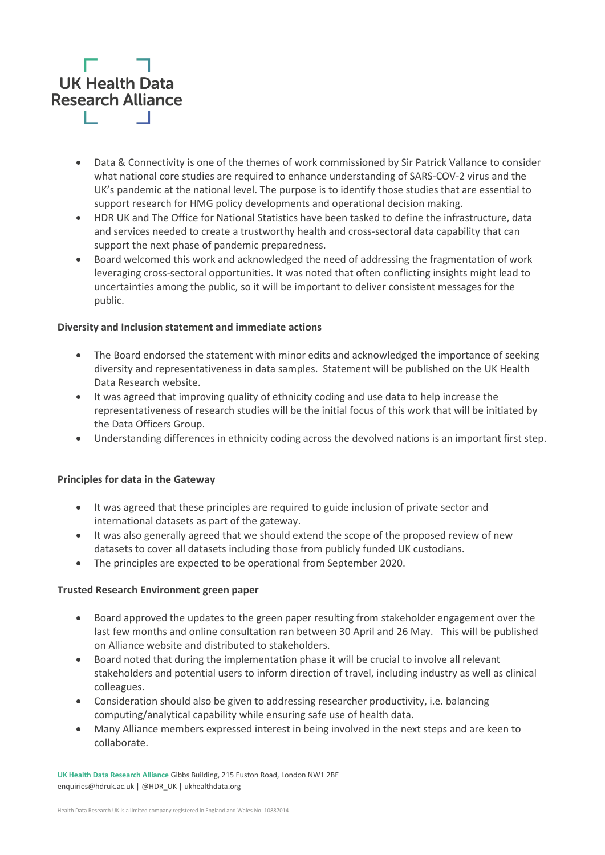

- Data & Connectivity is one of the themes of work commissioned by Sir Patrick Vallance to consider what national core studies are required to enhance understanding of SARS-COV-2 virus and the UK's pandemic at the national level. The purpose is to identify those studies that are essential to support research for HMG policy developments and operational decision making.
- HDR UK and The Office for National Statistics have been tasked to define the infrastructure, data and services needed to create a trustworthy health and cross-sectoral data capability that can support the next phase of pandemic preparedness.
- Board welcomed this work and acknowledged the need of addressing the fragmentation of work leveraging cross-sectoral opportunities. It was noted that often conflicting insights might lead to uncertainties among the public, so it will be important to deliver consistent messages for the public.

#### **Diversity and Inclusion statement and immediate actions**

- The Board endorsed the statement with minor edits and acknowledged the importance of seeking diversity and representativeness in data samples. Statement will be published on the UK Health Data Research website.
- It was agreed that improving quality of ethnicity coding and use data to help increase the representativeness of research studies will be the initial focus of this work that will be initiated by the Data Officers Group.
- Understanding differences in ethnicity coding across the devolved nations is an important first step.

#### **Principles for data in the Gateway**

- It was agreed that these principles are required to guide inclusion of private sector and international datasets as part of the gateway.
- It was also generally agreed that we should extend the scope of the proposed review of new datasets to cover all datasets including those from publicly funded UK custodians.
- The principles are expected to be operational from September 2020.

#### **Trusted Research Environment green paper**

- Board approved the updates to the green paper resulting from stakeholder engagement over the last few months and online consultation ran between 30 April and 26 May. This will be published on Alliance website and distributed to stakeholders.
- Board noted that during the implementation phase it will be crucial to involve all relevant stakeholders and potential users to inform direction of travel, including industry as well as clinical colleagues.
- Consideration should also be given to addressing researcher productivity, i.e. balancing computing/analytical capability while ensuring safe use of health data.
- Many Alliance members expressed interest in being involved in the next steps and are keen to collaborate.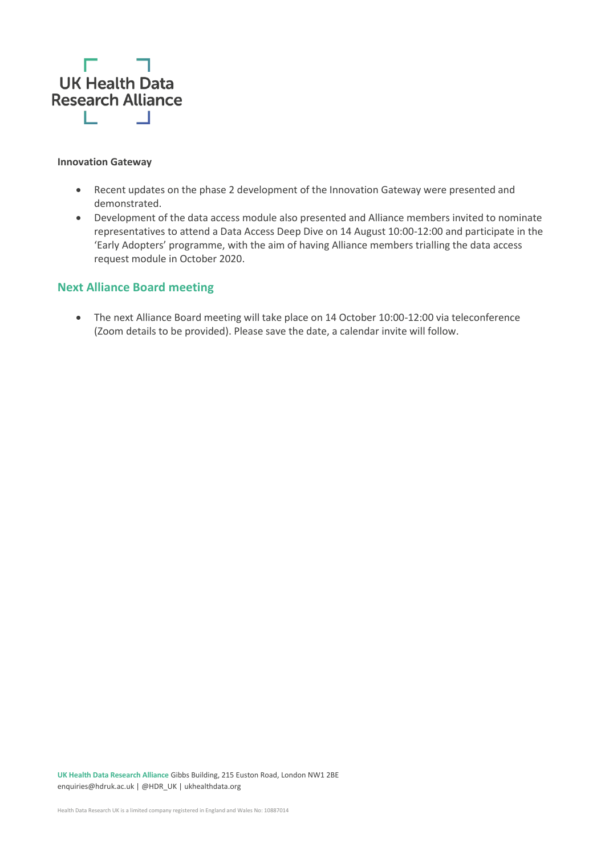

#### **Innovation Gateway**

- Recent updates on the phase 2 development of the Innovation Gateway were presented and demonstrated.
- Development of the data access module also presented and Alliance members invited to nominate representatives to attend a Data Access Deep Dive on 14 August 10:00-12:00 and participate in the 'Early Adopters' programme, with the aim of having Alliance members trialling the data access request module in October 2020.

#### **Next Alliance Board meeting**

• The next Alliance Board meeting will take place on 14 October 10:00-12:00 via teleconference (Zoom details to be provided). Please save the date, a calendar invite will follow.